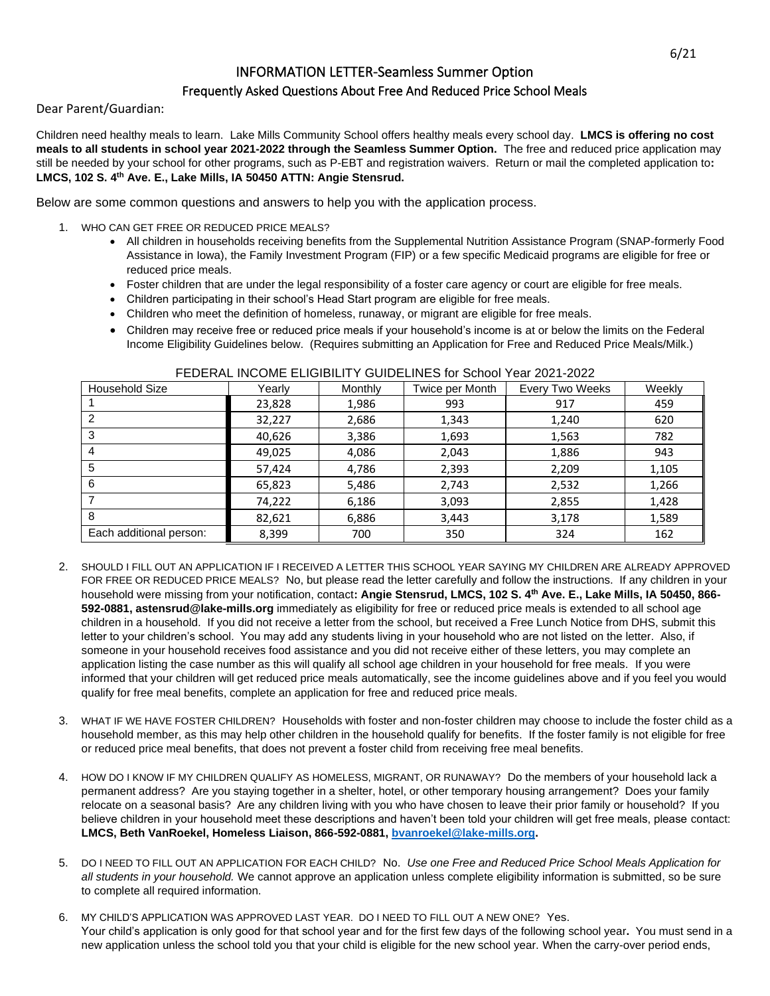## INFORMATION LETTER-Seamless Summer Option

## Frequently Asked Questions About Free And Reduced Price School Meals

Dear Parent/Guardian:

Children need healthy meals to learn. Lake Mills Community School offers healthy meals every school day. **LMCS is offering no cost meals to all students in school year 2021-2022 through the Seamless Summer Option.** The free and reduced price application may still be needed by your school for other programs, such as P-EBT and registration waivers. Return or mail the completed application to**: LMCS, 102 S. 4th Ave. E., Lake Mills, IA 50450 ATTN: Angie Stensrud.**

Below are some common questions and answers to help you with the application process.

- 1. WHO CAN GET FREE OR REDUCED PRICE MEALS?
	- All children in households receiving benefits from the Supplemental Nutrition Assistance Program (SNAP-formerly Food Assistance in Iowa), the Family Investment Program (FIP) or a few specific Medicaid programs are eligible for free or reduced price meals.
	- Foster children that are under the legal responsibility of a foster care agency or court are eligible for free meals.
	- Children participating in their school's Head Start program are eligible for free meals.
	- Children who meet the definition of homeless, runaway, or migrant are eligible for free meals.
	- Children may receive free or reduced price meals if your household's income is at or below the limits on the Federal Income Eligibility Guidelines below. (Requires submitting an Application for Free and Reduced Price Meals/Milk.)

| <b>Household Size</b>   | Yearly | Monthly | Twice per Month | Every Two Weeks | Weekly |
|-------------------------|--------|---------|-----------------|-----------------|--------|
|                         | 23,828 | 1,986   | 993             | 917             | 459    |
| 2                       | 32,227 | 2,686   | 1,343           | 1,240           | 620    |
| 3                       | 40,626 | 3,386   | 1,693           | 1,563           | 782    |
| 4                       | 49,025 | 4,086   | 2,043           | 1,886           | 943    |
| 5                       | 57,424 | 4,786   | 2,393           | 2,209           | 1,105  |
| 6                       | 65,823 | 5,486   | 2,743           | 2,532           | 1,266  |
|                         | 74,222 | 6,186   | 3,093           | 2,855           | 1,428  |
| 8                       | 82,621 | 6,886   | 3,443           | 3,178           | 1,589  |
| Each additional person: | 8,399  | 700     | 350             | 324             | 162    |

## FEDERAL INCOME ELIGIBILITY GUIDELINES for School Year 2021-2022

- 2. SHOULD I FILL OUT AN APPLICATION IF I RECEIVED A LETTER THIS SCHOOL YEAR SAYING MY CHILDREN ARE ALREADY APPROVED FOR FREE OR REDUCED PRICE MEALS? No, but please read the letter carefully and follow the instructions. If any children in your household were missing from your notification, contact**: Angie Stensrud, LMCS, 102 S. 4th Ave. E., Lake Mills, IA 50450, 866- 592-0881, astensrud@lake-mills.org** immediately as eligibility for free or reduced price meals is extended to all school age children in a household. If you did not receive a letter from the school, but received a Free Lunch Notice from DHS, submit this letter to your children's school. You may add any students living in your household who are not listed on the letter. Also, if someone in your household receives food assistance and you did not receive either of these letters, you may complete an application listing the case number as this will qualify all school age children in your household for free meals. If you were informed that your children will get reduced price meals automatically, see the income guidelines above and if you feel you would qualify for free meal benefits, complete an application for free and reduced price meals.
- 3. WHAT IF WE HAVE FOSTER CHILDREN? Households with foster and non-foster children may choose to include the foster child as a household member, as this may help other children in the household qualify for benefits. If the foster family is not eligible for free or reduced price meal benefits, that does not prevent a foster child from receiving free meal benefits.
- 4. HOW DO I KNOW IF MY CHILDREN QUALIFY AS HOMELESS, MIGRANT, OR RUNAWAY? Do the members of your household lack a permanent address? Are you staying together in a shelter, hotel, or other temporary housing arrangement? Does your family relocate on a seasonal basis? Are any children living with you who have chosen to leave their prior family or household? If you believe children in your household meet these descriptions and haven't been told your children will get free meals, please contact: **LMCS, Beth VanRoekel, Homeless Liaison, 866-592-0881[, bvanroekel@lake-mills.org.](mailto:bvanroekel@lake-mills.org)**
- 5. DO I NEED TO FILL OUT AN APPLICATION FOR EACH CHILD?No.*Use one Free and Reduced Price School Meals Application for all students in your household.* We cannot approve an application unless complete eligibility information is submitted, so be sure to complete all required information.
- 6. MY CHILD'S APPLICATION WAS APPROVED LAST YEAR. DO I NEED TO FILL OUT A NEW ONE? Yes. Your child's application is only good for that school year and for the first few days of the following school year**.** You must send in a new application unless the school told you that your child is eligible for the new school year. When the carry-over period ends,